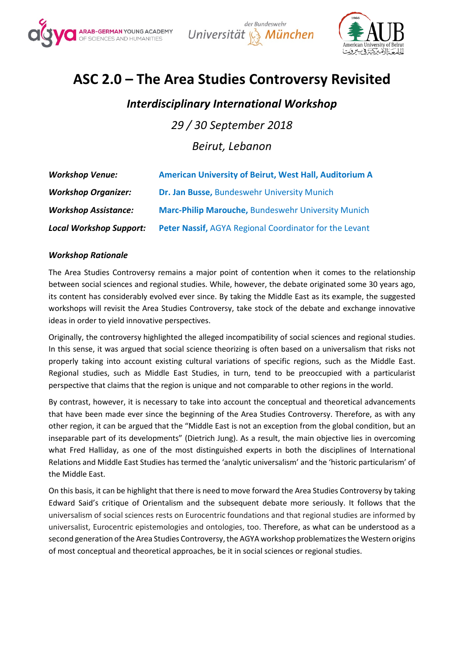





# **ASC 2.0 – The Area Studies Controversy Revisited**

## *Interdisciplinary International Workshop*

*29 / 30 September 2018 Beirut, Lebanon*

| <b>Workshop Venue:</b>         | <b>American University of Beirut, West Hall, Auditorium A</b> |
|--------------------------------|---------------------------------------------------------------|
| <b>Workshop Organizer:</b>     | Dr. Jan Busse, Bundeswehr University Munich                   |
| <b>Workshop Assistance:</b>    | Marc-Philip Marouche, Bundeswehr University Munich            |
| <b>Local Workshop Support:</b> | Peter Nassif, AGYA Regional Coordinator for the Levant        |

#### *Workshop Rationale*

The Area Studies Controversy remains a major point of contention when it comes to the relationship between social sciences and regional studies. While, however, the debate originated some 30 years ago, its content has considerably evolved ever since. By taking the Middle East as its example, the suggested workshops will revisit the Area Studies Controversy, take stock of the debate and exchange innovative ideas in order to yield innovative perspectives.

Originally, the controversy highlighted the alleged incompatibility of social sciences and regional studies. In this sense, it was argued that social science theorizing is often based on a universalism that risks not properly taking into account existing cultural variations of specific regions, such as the Middle East. Regional studies, such as Middle East Studies, in turn, tend to be preoccupied with a particularist perspective that claims that the region is unique and not comparable to other regions in the world.

By contrast, however, it is necessary to take into account the conceptual and theoretical advancements that have been made ever since the beginning of the Area Studies Controversy. Therefore, as with any other region, it can be argued that the "Middle East is not an exception from the global condition, but an inseparable part of its developments" (Dietrich Jung). As a result, the main objective lies in overcoming what Fred Halliday, as one of the most distinguished experts in both the disciplines of International Relations and Middle East Studies has termed the 'analytic universalism' and the 'historic particularism' of the Middle East.

On this basis, it can be highlight that there is need to move forward the Area Studies Controversy by taking Edward Said's critique of Orientalism and the subsequent debate more seriously. It follows that the universalism of social sciences rests on Eurocentric foundations and that regional studies are informed by universalist, Eurocentric epistemologies and ontologies, too. Therefore, as what can be understood as a second generation of the Area Studies Controversy, the AGYA workshop problematizes the Western origins of most conceptual and theoretical approaches, be it in social sciences or regional studies.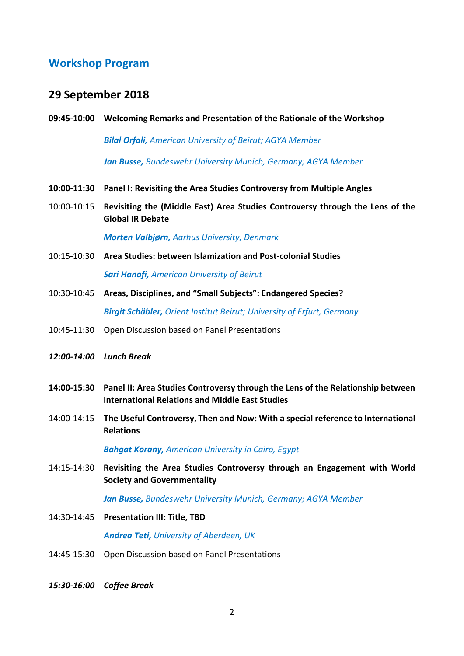#### **Workshop Program**

#### **29 September 2018**

**09:45-10:00 Welcoming Remarks and Presentation of the Rationale of the Workshop**

*Bilal Orfali, American University of Beirut; AGYA Member*

*Jan Busse, Bundeswehr University Munich, Germany; AGYA Member*

- **10:00-11:30 Panel I: Revisiting the Area Studies Controversy from Multiple Angles**
- 10:00-10:15 **Revisiting the (Middle East) Area Studies Controversy through the Lens of the Global IR Debate**

*Morten Valbjørn, Aarhus University, Denmark*

- 10:15-10:30 **Area Studies: between Islamization and Post-colonial Studies** *Sari Hanafi, American University of Beirut*
- 10:30-10:45 **Areas, Disciplines, and "Small Subjects": Endangered Species?** *Birgit Schäbler, Orient Institut Beirut; University of Erfurt, Germany*
- 10:45-11:30 Open Discussion based on Panel Presentations
- *12:00-14:00 Lunch Break*
- **14:00-15:30 Panel II: Area Studies Controversy through the Lens of the Relationship between International Relations and Middle East Studies**
- 14:00-14:15 **The Useful Controversy, Then and Now: With a special reference to International Relations**

*Bahgat Korany, American University in Cairo, Egypt*

14:15-14:30 **Revisiting the Area Studies Controversy through an Engagement with World Society and Governmentality**

*Jan Busse, Bundeswehr University Munich, Germany; AGYA Member*

- 14:30-14:45 **Presentation III: Title, TBD** *Andrea Teti, University of Aberdeen, UK*
- 14:45-15:30 Open Discussion based on Panel Presentations
- *15:30-16:00 Coffee Break*